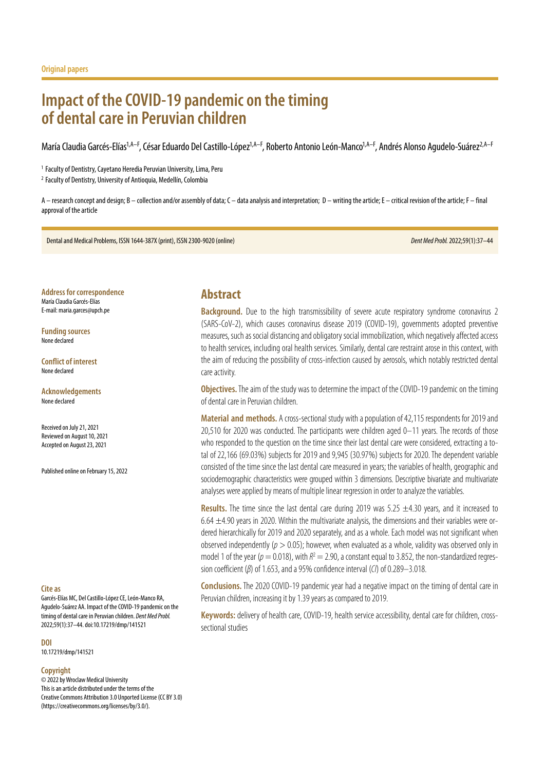# **Impact of the COVID-19 pandemic on the timing of dental care in Peruvian children**

María Claudia Garcés-Elías<sup>1,A–F</sup>, César Eduardo Del Castillo-López<sup>1,A–F</sup>, Roberto Antonio León-Manco<sup>1,A–F</sup>, Andrés Alonso Agudelo-Suárez<sup>2,A–F</sup>

<sup>1</sup> Faculty of Dentistry, Cayetano Heredia Peruvian University, Lima, Peru

<sup>2</sup> Faculty of Dentistry, University of Antioquia, Medellín, Colombia

A – research concept and design; B – collection and/or assembly of data; C – data analysis and interpretation; D – writing the article; E – critical revision of the article; F – final approval of the article

Dental and Medical Problems, ISSN 1644-387X (print), ISSN 2300-9020 (online) *Dent Med Probl.* 2022;59(1):37–44

**Address for correspondence** María Claudia Garcés-Elías E-mail: maria.garces@upch.pe

**Funding sources** None declared

**Conflict of interest** None declared

**Acknowledgements** None declared

Received on July 21, 2021 Reviewed on August 10, 2021 Accepted on August 23, 2021

Published online on February 15, 2022

#### **Cite as**

Garcés-Elías MC, Del Castillo-López CE, León-Manco RA, Agudelo-Suárez AA. Impact of the COVID-19 pandemic on the timing of dental care in Peruvian children. *Dent Med Probl.* 2022;59(1):37–44. doi:10.17219/dmp/141521

**DOI**

10.17219/dmp/141521

#### **Copyright**

© 2022 by Wroclaw Medical University This is an article distributed under the terms of the Creative Commons Attribution 3.0 Unported License (CC BY 3.0) [\(https://creativecommons.org/licenses/by/3.0/\)](https://creativecommons.org/licenses/by/3.0/).

### **Abstract**

**Background.** Due to the high transmissibility of severe acute respiratory syndrome coronavirus 2 (SARS-CoV-2), which causes coronavirus disease 2019 (COVID-19), governments adopted preventive measures, such as social distancing and obligatory social immobilization, which negatively affected access to health services, including oral health services. Similarly, dental care restraint arose in this context, with the aim of reducing the possibility of cross-infection caused by aerosols, which notably restricted dental care activity.

**Objectives.** The aim of the study was to determine the impact of the COVID-19 pandemic on the timing of dental care in Peruvian children.

**Material and methods.** A cross-sectional study with a population of 42,115 respondents for 2019 and 20,510 for 2020 was conducted. The participants were children aged 0–11 years. The records of those who responded to the question on the time since their last dental care were considered, extracting a total of 22,166 (69.03%) subjects for 2019 and 9,945 (30.97%) subjects for 2020. The dependent variable consisted of the time since the last dental care measured in years; the variables of health, geographic and sociodemographic characteristics were grouped within 3 dimensions. Descriptive bivariate and multivariate analyses were applied by means of multiple linear regression in order to analyze the variables.

**Results.** The time since the last dental care during 2019 was 5.25 ±4.30 years, and it increased to 6.64  $\pm$ 4.90 years in 2020. Within the multivariate analysis, the dimensions and their variables were ordered hierarchically for 2019 and 2020 separately, and as a whole. Each model was not significant when observed independently (*p* > 0.05); however, when evaluated as a whole, validity was observed only in model 1 of the year ( $p = 0.018$ ), with  $R<sup>2</sup> = 2.90$ , a constant equal to 3.852, the non-standardized regression coefficient (*β*) of 1.653, and a 95% confidence interval (*CI*) of 0.289–3.018.

**Conclusions.**The 2020 COVID-19 pandemic year had a negative impact on the timing of dental care in Peruvian children, increasing it by 1.39 years as compared to 2019.

**Keywords:** delivery of health care, COVID-19, health service accessibility, dental care for children, crosssectional studies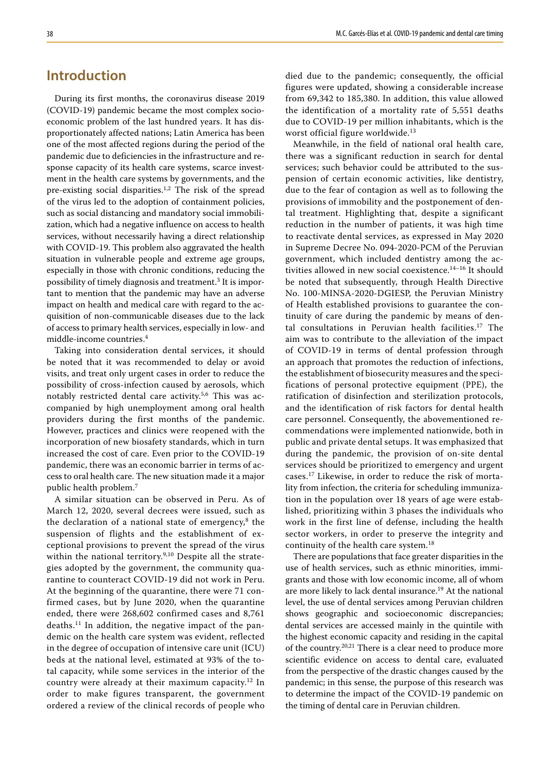# **Introduction**

During its first months, the coronavirus disease 2019 (COVID-19) pandemic became the most complex socioeconomic problem of the last hundred years. It has disproportionately affected nations; Latin America has been one of the most affected regions during the period of the pandemic due to deficiencies in the infrastructure and response capacity of its health care systems, scarce investment in the health care systems by governments, and the pre-existing social disparities.1,2 The risk of the spread of the virus led to the adoption of containment policies, such as social distancing and mandatory social immobilization, which had a negative influence on access to health services, without necessarily having a direct relationship with COVID-19. This problem also aggravated the health situation in vulnerable people and extreme age groups, especially in those with chronic conditions, reducing the possibility of timely diagnosis and treatment.<sup>3</sup> It is important to mention that the pandemic may have an adverse impact on health and medical care with regard to the acquisition of non-communicable diseases due to the lack of access to primary health services, especially in low- and middle-income countries.4

Taking into consideration dental services, it should be noted that it was recommended to delay or avoid visits, and treat only urgent cases in order to reduce the possibility of cross-infection caused by aerosols, which notably restricted dental care activity.5,6 This was accompanied by high unemployment among oral health providers during the first months of the pandemic. However, practices and clinics were reopened with the incorporation of new biosafety standards, which in turn increased the cost of care. Even prior to the COVID-19 pandemic, there was an economic barrier in terms of access to oral health care. The new situation made it a major public health problem.<sup>7</sup>

A similar situation can be observed in Peru. As of March 12, 2020, several decrees were issued, such as the declaration of a national state of emergency, $8$  the suspension of flights and the establishment of exceptional provisions to prevent the spread of the virus within the national territory.<sup>9,10</sup> Despite all the strategies adopted by the government, the community quarantine to counteract COVID-19 did not work in Peru. At the beginning of the quarantine, there were 71 confirmed cases, but by June 2020, when the quarantine ended, there were 268,602 confirmed cases and 8,761 deaths.11 In addition, the negative impact of the pandemic on the health care system was evident, reflected in the degree of occupation of intensive care unit (ICU) beds at the national level, estimated at 93% of the total capacity, while some services in the interior of the country were already at their maximum capacity.12 In order to make figures transparent, the government ordered a review of the clinical records of people who

died due to the pandemic; consequently, the official figures were updated, showing a considerable increase from 69,342 to 185,380. In addition, this value allowed the identification of a mortality rate of 5,551 deaths due to COVID-19 per million inhabitants, which is the worst official figure worldwide.<sup>13</sup>

Meanwhile, in the field of national oral health care, there was a significant reduction in search for dental services; such behavior could be attributed to the suspension of certain economic activities, like dentistry, due to the fear of contagion as well as to following the provisions of immobility and the postponement of dental treatment. Highlighting that, despite a significant reduction in the number of patients, it was high time to reactivate dental services, as expressed in May 2020 in Supreme Decree No. 094-2020-PCM of the Peruvian government, which included dentistry among the activities allowed in new social coexistence.14–16 It should be noted that subsequently, through Health Directive No. 100-MINSA-2020-DGIESP, the Peruvian Ministry of Health established provisions to guarantee the continuity of care during the pandemic by means of dental consultations in Peruvian health facilities.<sup>17</sup> The aim was to contribute to the alleviation of the impact of COVID-19 in terms of dental profession through an approach that promotes the reduction of infections, the establishment of biosecurity measures and the specifications of personal protective equipment (PPE), the ratification of disinfection and sterilization protocols, and the identification of risk factors for dental health care personnel. Consequently, the abovementioned recommendations were implemented nationwide, both in public and private dental setups. It was emphasized that during the pandemic, the provision of on-site dental services should be prioritized to emergency and urgent cases.17 Likewise, in order to reduce the risk of mortality from infection, the criteria for scheduling immunization in the population over 18 years of age were established, prioritizing within 3 phases the individuals who work in the first line of defense, including the health sector workers, in order to preserve the integrity and continuity of the health care system.<sup>18</sup>

There are populations that face greater disparities in the use of health services, such as ethnic minorities, immigrants and those with low economic income, all of whom are more likely to lack dental insurance.19 At the national level, the use of dental services among Peruvian children shows geographic and socioeconomic discrepancies; dental services are accessed mainly in the quintile with the highest economic capacity and residing in the capital of the country.20,21 There is a clear need to produce more scientific evidence on access to dental care, evaluated from the perspective of the drastic changes caused by the pandemic; in this sense, the purpose of this research was to determine the impact of the COVID-19 pandemic on the timing of dental care in Peruvian children.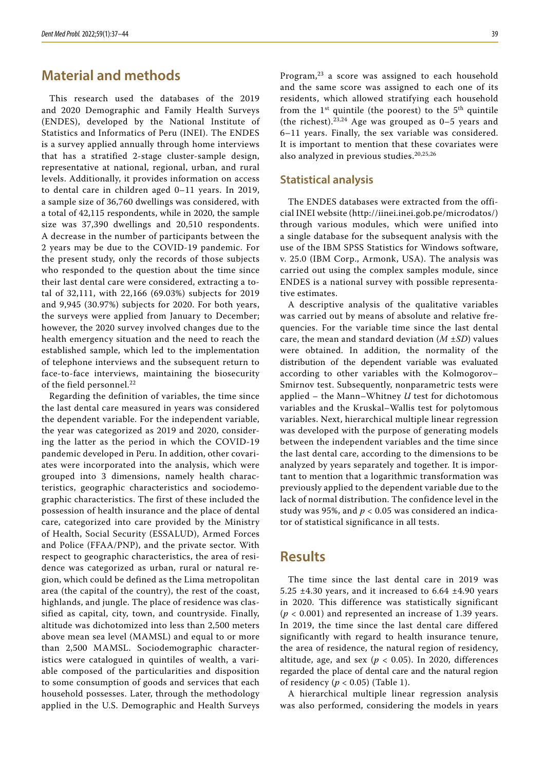### **Material and methods**

This research used the databases of the 2019 and 2020 Demographic and Family Health Surveys (ENDES), developed by the National Institute of Statistics and Informatics of Peru (INEI). The ENDES is a survey applied annually through home interviews that has a stratified 2-stage cluster-sample design, representative at national, regional, urban, and rural levels. Additionally, it provides information on access to dental care in children aged 0–11 years. In 2019, a sample size of 36,760 dwellings was considered, with a total of 42,115 respondents, while in 2020, the sample size was 37,390 dwellings and 20,510 respondents. A decrease in the number of participants between the 2 years may be due to the COVID-19 pandemic. For the present study, only the records of those subjects who responded to the question about the time since their last dental care were considered, extracting a total of 32,111, with 22,166 (69.03%) subjects for 2019 and 9,945 (30.97%) subjects for 2020. For both years, the surveys were applied from January to December; however, the 2020 survey involved changes due to the health emergency situation and the need to reach the established sample, which led to the implementation of telephone interviews and the subsequent return to face-to-face interviews, maintaining the biosecurity of the field personnel.<sup>22</sup>

Regarding the definition of variables, the time since the last dental care measured in years was considered the dependent variable. For the independent variable, the year was categorized as 2019 and 2020, considering the latter as the period in which the COVID-19 pandemic developed in Peru. In addition, other covariates were incorporated into the analysis, which were grouped into 3 dimensions, namely health characteristics, geographic characteristics and sociodemographic characteristics. The first of these included the possession of health insurance and the place of dental care, categorized into care provided by the Ministry of Health, Social Security (ESSALUD), Armed Forces and Police (FFAA/PNP), and the private sector. With respect to geographic characteristics, the area of residence was categorized as urban, rural or natural region, which could be defined as the Lima metropolitan area (the capital of the country), the rest of the coast, highlands, and jungle. The place of residence was classified as capital, city, town, and countryside. Finally, altitude was dichotomized into less than 2,500 meters above mean sea level (MAMSL) and equal to or more than 2,500 MAMSL. Sociodemographic characteristics were catalogued in quintiles of wealth, a variable composed of the particularities and disposition to some consumption of goods and services that each household possesses. Later, through the methodology applied in the U.S. Demographic and Health Surveys

Program,<sup>23</sup> a score was assigned to each household and the same score was assigned to each one of its residents, which allowed stratifying each household from the  $1<sup>st</sup>$  quintile (the poorest) to the  $5<sup>th</sup>$  quintile (the richest).<sup>23,24</sup> Age was grouped as  $0-5$  years and 6–11 years. Finally, the sex variable was considered. It is important to mention that these covariates were also analyzed in previous studies.<sup>20,25,26</sup>

#### **Statistical analysis**

The ENDES databases were extracted from the official INEI website (<http://iinei.inei.gob.pe/microdatos/>) through various modules, which were unified into a single database for the subsequent analysis with the use of the IBM SPSS Statistics for Windows software, v. 25.0 (IBM Corp., Armonk, USA). The analysis was carried out using the complex samples module, since ENDES is a national survey with possible representative estimates.

A descriptive analysis of the qualitative variables was carried out by means of absolute and relative frequencies. For the variable time since the last dental care, the mean and standard deviation (*M* ±*SD*) values were obtained. In addition, the normality of the distribution of the dependent variable was evaluated according to other variables with the Kolmogorov– Smirnov test. Subsequently, nonparametric tests were applied – the Mann–Whitney *U* test for dichotomous variables and the Kruskal–Wallis test for polytomous variables. Next, hierarchical multiple linear regression was developed with the purpose of generating models between the independent variables and the time since the last dental care, according to the dimensions to be analyzed by years separately and together. It is important to mention that a logarithmic transformation was previously applied to the dependent variable due to the lack of normal distribution. The confidence level in the study was 95%, and *p* < 0.05 was considered an indicator of statistical significance in all tests.

### **Results**

The time since the last dental care in 2019 was 5.25  $\pm$ 4.30 years, and it increased to 6.64  $\pm$ 4.90 years in 2020. This difference was statistically significant  $(p < 0.001)$  and represented an increase of 1.39 years. In 2019, the time since the last dental care differed significantly with regard to health insurance tenure, the area of residence, the natural region of residency, altitude, age, and sex ( $p < 0.05$ ). In 2020, differences regarded the place of dental care and the natural region of residency (*p* < 0.05) (Table 1).

A hierarchical multiple linear regression analysis was also performed, considering the models in years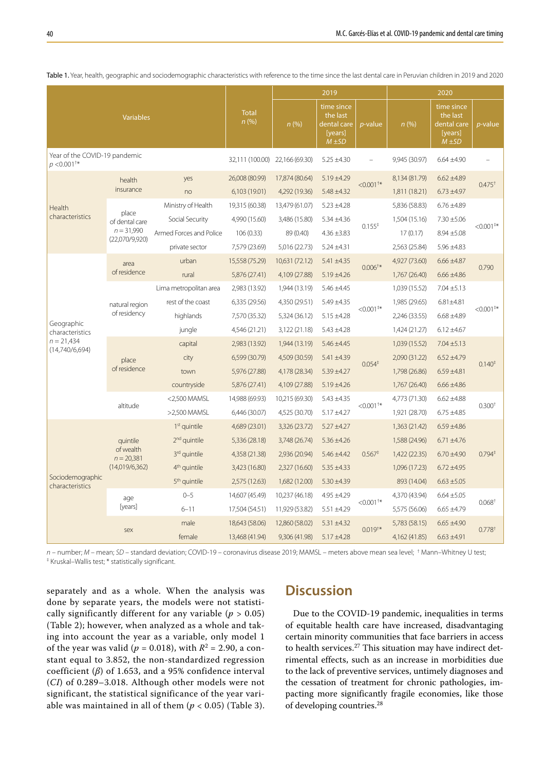|                                                   |                                                         |                          |                                                                |                                 | 2019                                                                             |                                                                | 2020                           |                                    |                      |  |
|---------------------------------------------------|---------------------------------------------------------|--------------------------|----------------------------------------------------------------|---------------------------------|----------------------------------------------------------------------------------|----------------------------------------------------------------|--------------------------------|------------------------------------|----------------------|--|
|                                                   | <b>Total</b><br>n(%)                                    | n(%)                     | time since<br>the last<br>dental care<br>[years]<br>$M \pm SD$ | <i>p</i> -value                 | n(%)                                                                             | time since<br>the last<br>dental care<br>[years]<br>$M \pm SD$ | <i>p</i> -value                |                                    |                      |  |
| Year of the COVID-19 pandemic<br>$p < 0.001^{+*}$ |                                                         |                          | 32,111 (100.00)                                                | 22,166 (69.30)                  | $5.25 \pm 4.30$                                                                  |                                                                | 9,945 (30.97)                  | $6.64 + 4.90$                      |                      |  |
|                                                   | health<br>insurance                                     | yes<br>no                | 26,008 (80.99)<br>6,103 (19.01)                                | 17,874 (80.64)<br>4,292 (19.36) | $5.19 \pm 4.29$<br>$5.48 \pm 4.32$                                               | $< 0.001**$                                                    | 8,134 (81.79)<br>1,811 (18.21) | $6.62 \pm 4.89$<br>$6.73 \pm 4.97$ | $0.475^{+}$          |  |
| Health                                            |                                                         | Ministry of Health       | 19,315 (60.38)                                                 | 13,479 (61.07)                  | $5.23 \pm 4.28$                                                                  |                                                                | 5,836 (58.83)                  | $6.76 \pm 4.89$                    |                      |  |
| characteristics                                   | place<br>of dental care                                 | Social Security          | 4,990 (15.60)                                                  | 3,486 (15.80)                   | $5.34 \pm 4.36$                                                                  |                                                                | 1,504 (15.16)                  | $7.30 \pm 5.06$                    |                      |  |
|                                                   | $n = 31,990$<br>(22,070/9,920)                          | Armed Forces and Police  | 106(0.33)<br>89 (0.40)<br>$4.36 \pm 3.83$                      |                                 | $0.155*$                                                                         | 17(0.17)                                                       | $8.94 \pm 5.08$                | $< 0.001**$                        |                      |  |
|                                                   |                                                         | private sector           | 7,579 (23.69)                                                  | 5,016 (22.73)                   | $5.24 \pm 4.31$                                                                  |                                                                | 2,563 (25.84)                  | $5.96 \pm 4.83$                    |                      |  |
|                                                   | area<br>of residence                                    | urban                    | 15,558 (75.29)                                                 | 10,631 (72.12)                  | $5.41 \pm 4.35$                                                                  |                                                                | 4,927 (73.60)                  | $6.66 \pm 4.87$                    |                      |  |
|                                                   |                                                         | rural                    | 5,876 (27.41)                                                  | 4,109 (27.88)                   | $5.19 \pm 4.26$                                                                  | $0.006^{+*}$                                                   | 1,767 (26.40)                  | $6.66 \pm 4.86$                    | 0.790                |  |
|                                                   | natural region<br>of residency                          | Lima metropolitan area   | 2,983 (13.92)                                                  | 1,944 (13.19)                   | $5.46 \pm 4.45$<br>$5.49 \pm 4.35$<br>$<$ 0.001 <sup>‡*</sup><br>$5.15 \pm 4.28$ |                                                                | 1,039 (15.52)                  | $7.04 \pm 5.13$                    | $< 0.001**$          |  |
|                                                   |                                                         | rest of the coast        | 6,335 (29.56)                                                  | 4,350 (29.51)                   |                                                                                  |                                                                | 1,985 (29.65)                  | $6.81 \pm 4.81$                    |                      |  |
|                                                   |                                                         | highlands                | 7,570 (35.32)                                                  | 5,324 (36.12)                   |                                                                                  |                                                                | 2,246 (33.55)                  | $6.68 \pm 4.89$                    |                      |  |
| Geographic<br>characteristics                     |                                                         | jungle                   | $5.43 \pm 4.28$<br>4,546 (21.21)<br>3,122 (21.18)              |                                 |                                                                                  | 1,424 (21.27)                                                  | $6.12 \pm 4.67$                |                                    |                      |  |
| $n = 21,434$                                      | place<br>of residence                                   | capital                  | 2,983 (13.92)                                                  | 1,944 (13.19)                   | $5.46 \pm 4.45$                                                                  |                                                                | 1,039 (15.52)                  | $7.04 \pm 5.13$                    | $0.140^{+}$          |  |
| (14,740/6,694)                                    |                                                         | city                     | 6,599 (30.79)                                                  | 4,509 (30.59)                   | $5.41 \pm 4.39$                                                                  |                                                                | 2,090 (31.22)                  | $6.52 \pm 4.79$                    |                      |  |
|                                                   |                                                         | town                     | 5,976 (27.88)                                                  | 4,178 (28.34)                   | $5.39 + 4.27$                                                                    | $0.054*$                                                       | 1,798 (26.86)                  | $6.59 + 4.81$                      |                      |  |
|                                                   |                                                         | countryside              | 5,876 (27.41)                                                  | 4,109 (27.88)                   | $5.19 \pm 4.26$                                                                  |                                                                | 1,767 (26.40)                  | $6.66 \pm 4.86$                    |                      |  |
|                                                   |                                                         | <2,500 MAMSL             | 14,988 (69.93)                                                 | 10,215 (69.30)                  | $5.43 \pm 4.35$                                                                  |                                                                | 4,773 (71.30)                  | $6.62 \pm 4.88$                    |                      |  |
|                                                   | altitude                                                | >2,500 MAMSL             | 6,446 (30.07)                                                  | 4,525 (30.70)                   | $5.17 \pm 4.27$                                                                  | $< 0.001^{+*}$                                                 | 1,921 (28.70)                  | $6.75 \pm 4.85$                    | 0.300 <sup>†</sup>   |  |
|                                                   | quintile<br>of wealth<br>$n = 20,381$<br>(14,019/6,362) | 1 <sup>st</sup> quintile | 4,689 (23.01)                                                  | 3,326 (23.72)                   | $5.27 \pm 4.27$                                                                  |                                                                | 1,363 (21.42)                  | $6.59 \pm 4.86$                    | 0.794 <sup>‡</sup>   |  |
|                                                   |                                                         | 2 <sup>nd</sup> quintile | 5,336 (28.18)                                                  | 3,748 (26.74)                   | $5.36 \pm 4.26$                                                                  |                                                                | 1,588 (24.96)                  | $6.71 \pm 4.76$                    |                      |  |
|                                                   |                                                         | 3 <sup>rd</sup> quintile | 4,358 (21.38)                                                  | 2,936 (20.94)                   | $5.46 \pm 4.42$                                                                  | 0.567 <sup>‡</sup>                                             | 1,422 (22.35)                  | $6.70 \pm 4.90$                    |                      |  |
|                                                   |                                                         | 4 <sup>th</sup> quintile | 3,423 (16.80)                                                  | 2,327 (16.60)                   | $5.35 \pm 4.33$                                                                  |                                                                | 1,096 (17.23)                  | $6.72 \pm 4.95$                    |                      |  |
| Sociodemographic<br>characteristics               |                                                         | 5 <sup>th</sup> quintile | 2,575 (12.63)                                                  | 1,682 (12.00)                   | $5.30 \pm 4.39$                                                                  |                                                                | 893 (14.04)                    | $6.63 \pm 5.05$                    |                      |  |
|                                                   | age                                                     | $0 - 5$                  | 14,607 (45.49)                                                 | 10,237 (46.18)                  | $4.95 \pm 4.29$                                                                  |                                                                | 4,370 (43.94)                  | $6.64 \pm 5.05$                    | $0.068+$             |  |
|                                                   | [years]                                                 | $6 - 11$                 | 17,504 (54.51)                                                 | 11,929 (53.82)                  | $<$ 0.001 <sup>+*</sup><br>$5.51 \pm 4.29$                                       |                                                                | 5,575 (56.06)                  | $6.65 \pm 4.79$                    |                      |  |
|                                                   |                                                         | male                     | 18,643 (58.06)                                                 | 12,860 (58.02)                  | $5.31 \pm 4.32$                                                                  | $0.019^{+\ast}$                                                | 5,783 (58.15)                  | $6.65 \pm 4.90$                    | $0.778$ <sup>+</sup> |  |
|                                                   | sex                                                     | female                   | 13,468 (41.94)                                                 | 9,306 (41.98)                   | $5.17 \pm 4.28$                                                                  |                                                                | 4,162 (41.85)                  | $6.63 \pm 4.91$                    |                      |  |

Table 1. Year, health, geographic and sociodemographic characteristics with reference to the time since the last dental care in Peruvian children in 2019 and 2020

*n* – number; *M* – mean; *SD* – standard deviation; COVID-19 – coronavirus disease 2019; MAMSL – meters above mean sea level; † Mann–Whitney U test;<br>‡Kruskal–Wallis test: \* statistically significant Kruskal–Wallis test; \* statistically significant.

separately and as a whole. When the analysis was done by separate years, the models were not statistically significantly different for any variable ( $p > 0.05$ ) (Table 2); however, when analyzed as a whole and taking into account the year as a variable, only model 1 of the year was valid ( $p = 0.018$ ), with  $R^2 = 2.90$ , a constant equal to 3.852, the non-standardized regression coefficient (*β*) of 1.653, and a 95% confidence interval (*CI*) of 0.289–3.018. Although other models were not significant, the statistical significance of the year variable was maintained in all of them  $(p < 0.05)$  (Table 3).

# **Discussion**

Due to the COVID-19 pandemic, inequalities in terms of equitable health care have increased, disadvantaging certain minority communities that face barriers in access to health services.<sup>27</sup> This situation may have indirect detrimental effects, such as an increase in morbidities due to the lack of preventive services, untimely diagnoses and the cessation of treatment for chronic pathologies, impacting more significantly fragile economies, like those of developing countries.28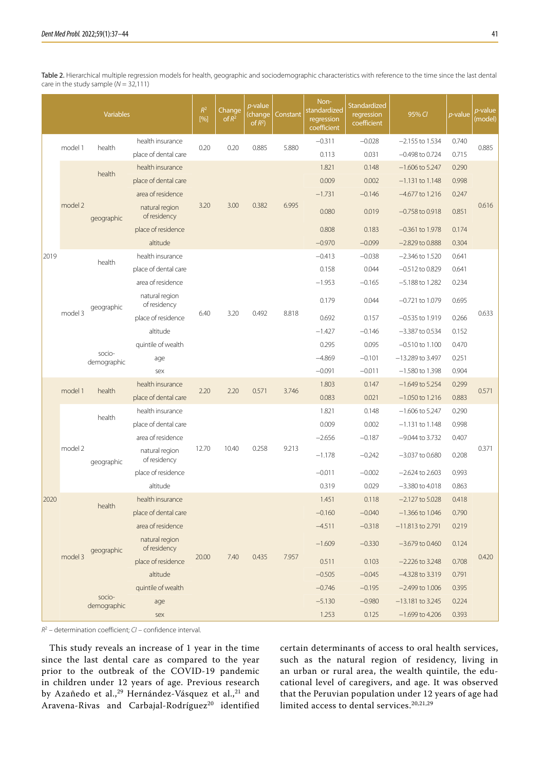| <b>Variables</b> |         |                       | $\mathbb{R}^2$<br>[%]          | Change<br>of $R^2$ | $p$ -value<br>(change<br>of $R^2$ ) | Constant | Non-<br>standardized<br>regression<br>coefficient | <b>Standardized</b><br>regression<br>coefficient | 95% CI              | $p$ -value          | $p$ -value<br>(model) |       |
|------------------|---------|-----------------------|--------------------------------|--------------------|-------------------------------------|----------|---------------------------------------------------|--------------------------------------------------|---------------------|---------------------|-----------------------|-------|
|                  |         |                       | health insurance               |                    |                                     | 0.885    |                                                   | $-0.311$                                         | $-0.028$            | $-2.155$ to $1.534$ | 0.740                 | 0.885 |
|                  | model 1 | health                | place of dental care           | 0.20               | 0.20                                |          | 5.880                                             | 0.113                                            | 0.031               | $-0.498$ to 0.724   | 0.715                 |       |
|                  |         | health                | health insurance               |                    | 3.00                                |          |                                                   | 1.821                                            | 0.148               | $-1.606$ to 5.247   | 0.290                 | 0.616 |
|                  |         |                       | place of dental care           | 3.20               |                                     | 0.382    | 6.995                                             | 0.009                                            | 0.002               | $-1.131$ to 1.148   | 0.998                 |       |
|                  |         |                       | area of residence              |                    |                                     |          |                                                   | $-1.731$                                         | $-0.146$            | $-4.677$ to 1.216   | 0.247                 |       |
|                  | model 2 | geographic            | natural region<br>of residency |                    |                                     |          |                                                   | 0.080                                            | 0.019               | $-0.758$ to 0.918   | 0.851                 |       |
|                  |         |                       | place of residence             |                    |                                     |          |                                                   | 0.808                                            | 0.183               | $-0.361$ to 1.978   | 0.174                 |       |
|                  |         |                       | altitude                       |                    |                                     |          |                                                   | $-0.970$                                         | $-0.099$            | $-2.829$ to 0.888   | 0.304                 |       |
| 2019             |         | health                | health insurance               |                    |                                     |          |                                                   | $-0.413$                                         | $-0.038$            | $-2.346$ to 1.520   | 0.641                 | 0.633 |
|                  |         |                       | place of dental care           |                    |                                     |          |                                                   | 0.158                                            | 0.044               | $-0.512$ to 0.829   | 0.641                 |       |
|                  |         |                       | area of residence              | 6.40               | 3.20                                | 0.492    | 8.818                                             | $-1.953$                                         | $-0.165$            | $-5.188$ to 1.282   | 0.234                 |       |
|                  |         | geographic            | natural region<br>of residency |                    |                                     |          |                                                   | 0.179                                            | 0.044               | $-0.721$ to 1.079   | 0.695                 |       |
|                  | model 3 |                       | place of residence             |                    |                                     |          |                                                   | 0.692                                            | 0.157               | $-0.535$ to 1.919   | 0.266                 |       |
|                  |         |                       | altitude                       |                    |                                     |          |                                                   | $-1.427$                                         | $-0.146$            | $-3.387$ to 0.534   | 0.152                 |       |
|                  |         | socio-<br>demographic | quintile of wealth             |                    |                                     |          |                                                   | 0.295                                            | 0.095               | $-0.510$ to $1.100$ | 0.470                 |       |
|                  |         |                       | age                            |                    |                                     |          |                                                   | $-4.869$                                         | $-0.101$            | $-13.289$ to 3.497  | 0.251                 |       |
|                  |         |                       | sex                            |                    |                                     |          |                                                   | $-0.091$                                         | $-0.011$            | $-1.580$ to 1.398   | 0.904                 |       |
|                  | model 1 | health                | health insurance               |                    | 2.20<br>2.20                        | 0.571    | 3.746                                             | 1.803                                            | 0.147               | $-1.649$ to 5.254   | 0.299                 | 0.571 |
|                  |         |                       | place of dental care           |                    |                                     |          |                                                   | 0.083                                            | 0.021               | $-1.050$ to 1.216   | 0.883                 |       |
|                  |         | health                | health insurance               |                    |                                     |          | 9.213                                             | 1.821                                            | 0.148               | $-1.606$ to 5.247   | 0.290                 | 0.371 |
|                  |         |                       | place of dental care           |                    |                                     |          |                                                   | 0.009                                            | 0.002               | $-1.131$ to $1.148$ | 0.998                 |       |
|                  |         |                       | area of residence              |                    |                                     |          |                                                   | $-2.656$                                         | $-0.187$            | $-9.044$ to 3.732   | 0.407                 |       |
|                  | model 2 | geographic            | natural region<br>of residency | 12.70              | 10.40                               | 0.258    |                                                   | $-1.178$                                         | $-0.242$            | $-3.037$ to 0.680   | 0.208                 |       |
|                  |         |                       | place of residence             |                    |                                     |          |                                                   | $-0.011$                                         | $-0.002$            | $-2.624$ to 2.603   | 0.993                 |       |
|                  |         |                       | altitude                       |                    |                                     |          | 0.319                                             | 0.029                                            | $-3.380$ to 4.018   | 0.863               |                       |       |
| 2020             |         | health                | health insurance               | 7.40<br>20.00      |                                     | 0.435    |                                                   | 1.451                                            | 0.118               | $-2.127$ to 5.028   | 0.418                 | 0.420 |
|                  |         |                       | place of dental care           |                    |                                     |          | 7.957                                             | $-0.160$                                         | $-0.040$            | $-1.366$ to $1.046$ | 0.790                 |       |
| model 3          |         | geographic            | area of residence              |                    |                                     |          |                                                   | $-4.511$                                         | $-0.318$            | $-11.813$ to 2.791  | 0.219                 |       |
|                  |         |                       | natural region<br>of residency |                    |                                     |          |                                                   | $-1.609$                                         | $-0.330$            | $-3.679$ to 0.460   | 0.124                 |       |
|                  |         |                       | place of residence             |                    |                                     |          |                                                   | 0.511                                            | 0.103               | $-2.226$ to 3.248   | 0.708                 |       |
|                  |         | socio-<br>demographic | altitude                       |                    |                                     |          |                                                   | $-0.505$                                         | $-0.045$            | $-4.328$ to 3.319   | 0.791                 |       |
|                  |         |                       | quintile of wealth             |                    |                                     |          | $-0.746$                                          | $-0.195$                                         | $-2.499$ to $1.006$ | 0.395               |                       |       |
|                  |         |                       | age                            |                    |                                     |          |                                                   | $-5.130$                                         | $-0.980$            | $-13.181$ to 3.245  | 0.224                 |       |
|                  |         |                       | sex                            |                    |                                     |          |                                                   | 1.253                                            | 0.125               | $-1.699$ to 4.206   | 0.393                 |       |

Table 2. Hierarchical multiple regression models for health, geographic and sociodemographic characteristics with reference to the time since the last dental care in the study sample (*N* = 32,111)

*R*2 – determination coefficient; *CI* – confidence interval.

This study reveals an increase of 1 year in the time since the last dental care as compared to the year prior to the outbreak of the COVID-19 pandemic in children under 12 years of age. Previous research by Azañedo et al.,<sup>29</sup> Hernández-Vásquez et al.,<sup>21</sup> and Aravena-Rivas and Carbajal-Rodríguez<sup>20</sup> identified certain determinants of access to oral health services, such as the natural region of residency, living in an urban or rural area, the wealth quintile, the educational level of caregivers, and age. It was observed that the Peruvian population under 12 years of age had limited access to dental services.<sup>20,21,29</sup>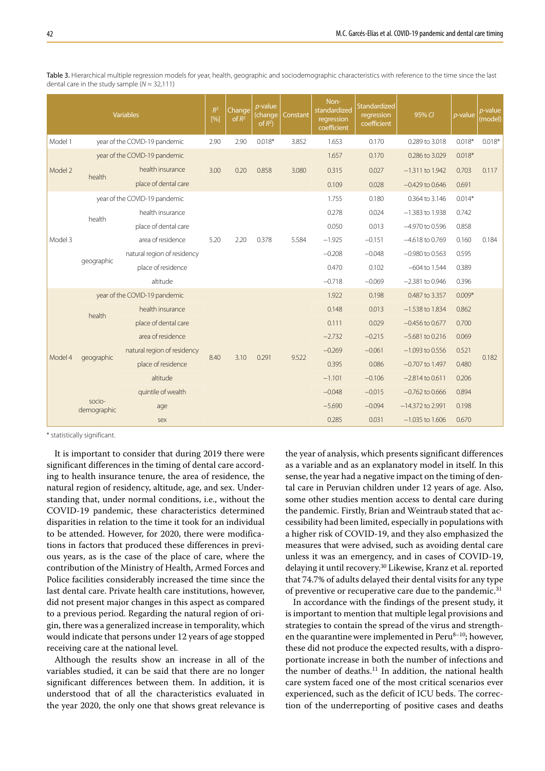| <b>Variables</b> |                               |                               | $R^2$ | Change<br>of $R^2$ | $p$ -value<br>(change<br>of $R^2$ ) | Constant | Non-<br>standardized<br>regression<br>coefficient | Standardized<br>regression<br>coefficient | 95% CI              | $p$ -value | $\overline{p}$ -value<br>(model) |
|------------------|-------------------------------|-------------------------------|-------|--------------------|-------------------------------------|----------|---------------------------------------------------|-------------------------------------------|---------------------|------------|----------------------------------|
| Model 1          | year of the COVID-19 pandemic |                               |       | 2.90               | $0.018*$                            | 3.852    | 1.653                                             | 0.170                                     | 0.289 to 3.018      | $0.018*$   | $0.018*$                         |
| Model 2          |                               | year of the COVID-19 pandemic |       |                    |                                     |          | 1.657                                             | 0.170                                     | 0.286 to 3.029      | $0.018*$   |                                  |
|                  | health                        | health insurance              | 3.00  | 0.20               | 0.858                               | 3.080    | 0.315                                             | 0.027                                     | $-1.311$ to $1.942$ | 0.703      | 0.117                            |
|                  |                               | place of dental care          |       |                    |                                     |          | 0.109                                             | 0.028                                     | $-0.429$ to 0.646   | 0.691      |                                  |
| Model 3          | year of the COVID-19 pandemic |                               |       |                    |                                     |          | 1.755                                             | 0.180                                     | 0.364 to 3.146      | $0.014*$   |                                  |
|                  | health                        | health insurance              | 5.20  | 2.20               | 0.378                               | 5.584    | 0.278                                             | 0.024                                     | $-1.383$ to 1.938   | 0.742      | 0.184                            |
|                  |                               | place of dental care          |       |                    |                                     |          | 0.050                                             | 0.013                                     | -4.970 to 0.596     | 0.858      |                                  |
|                  |                               | area of residence             |       |                    |                                     |          | $-1.925$                                          | $-0.151$                                  | $-4.618$ to 0.769   | 0.160      |                                  |
|                  | geographic                    | natural region of residency   |       |                    |                                     |          | $-0.208$                                          | $-0.048$                                  | $-0.980$ to $0.563$ | 0.595      |                                  |
|                  |                               | place of residence            |       |                    |                                     |          | 0.470                                             | 0.102                                     | $-604$ to 1.544     | 0.389      |                                  |
|                  |                               | altitude                      |       |                    |                                     |          | $-0.718$                                          | $-0.069$                                  | $-2.381$ to 0.946   | 0.396      |                                  |
|                  | year of the COVID-19 pandemic |                               |       |                    |                                     |          | 1.922                                             | 0.198                                     | 0.487 to 3.357      | $0.009*$   |                                  |
|                  | health                        | health insurance              | 8.40  | 3.10               | 0.291                               | 9.522    | 0.148                                             | 0.013                                     | $-1.538$ to $1.834$ | 0.862      | 0.182                            |
|                  |                               | place of dental care          |       |                    |                                     |          | 0.111                                             | 0.029                                     | $-0.456$ to 0.677   | 0.700      |                                  |
| Model 4          | geographic                    | area of residence             |       |                    |                                     |          | $-2.732$                                          | $-0.215$                                  | $-5.681$ to 0.216   | 0.069      |                                  |
|                  |                               | natural region of residency   |       |                    |                                     |          | $-0.269$                                          | $-0.061$                                  | $-1.093$ to 0.556   | 0.521      |                                  |
|                  |                               | place of residence            |       |                    |                                     |          | 0.395                                             | 0.086                                     | $-0.707$ to 1.497   | 0.480      |                                  |
|                  |                               | altitude                      |       |                    |                                     |          | $-1.101$                                          | $-0.106$                                  | $-2.814$ to 0.611   | 0.206      |                                  |
|                  |                               | quintile of wealth            |       |                    |                                     |          | $-0.048$                                          | $-0.015$                                  | $-0.762$ to 0.666   | 0.894      |                                  |
|                  | socio-<br>demographic         | age                           |       |                    |                                     |          | $-5.690$                                          | $-0.094$                                  | $-14.372$ to 2.991  | 0.198      |                                  |
|                  |                               | sex                           |       |                    |                                     |          | 0.285                                             | 0.031                                     | $-1.035$ to 1.606   | 0.670      |                                  |

Table 3. Hierarchical multiple regression models for year, health, geographic and sociodemographic characteristics with reference to the time since the last dental care in the study sample (*N* = 32,111)

\* statistically significant.

It is important to consider that during 2019 there were significant differences in the timing of dental care according to health insurance tenure, the area of residence, the natural region of residency, altitude, age, and sex. Understanding that, under normal conditions, i.e., without the COVID-19 pandemic, these characteristics determined disparities in relation to the time it took for an individual to be attended. However, for 2020, there were modifications in factors that produced these differences in previous years, as is the case of the place of care, where the contribution of the Ministry of Health, Armed Forces and Police facilities considerably increased the time since the last dental care. Private health care institutions, however, did not present major changes in this aspect as compared to a previous period. Regarding the natural region of origin, there was a generalized increase in temporality, which would indicate that persons under 12 years of age stopped receiving care at the national level.

Although the results show an increase in all of the variables studied, it can be said that there are no longer significant differences between them. In addition, it is understood that of all the characteristics evaluated in the year 2020, the only one that shows great relevance is

the year of analysis, which presents significant differences as a variable and as an explanatory model in itself. In this sense, the year had a negative impact on the timing of dental care in Peruvian children under 12 years of age. Also, some other studies mention access to dental care during the pandemic. Firstly, Brian and Weintraub stated that accessibility had been limited, especially in populations with a higher risk of COVID-19, and they also emphasized the measures that were advised, such as avoiding dental care unless it was an emergency, and in cases of COVID-19, delaying it until recovery.30 Likewise, Kranz et al. reported that 74.7% of adults delayed their dental visits for any type of preventive or recuperative care due to the pandemic.<sup>31</sup>

In accordance with the findings of the present study, it is important to mention that multiple legal provisions and strategies to contain the spread of the virus and strengthen the quarantine were implemented in Peru $8-10$ ; however, these did not produce the expected results, with a disproportionate increase in both the number of infections and the number of deaths.<sup>11</sup> In addition, the national health care system faced one of the most critical scenarios ever experienced, such as the deficit of ICU beds. The correction of the underreporting of positive cases and deaths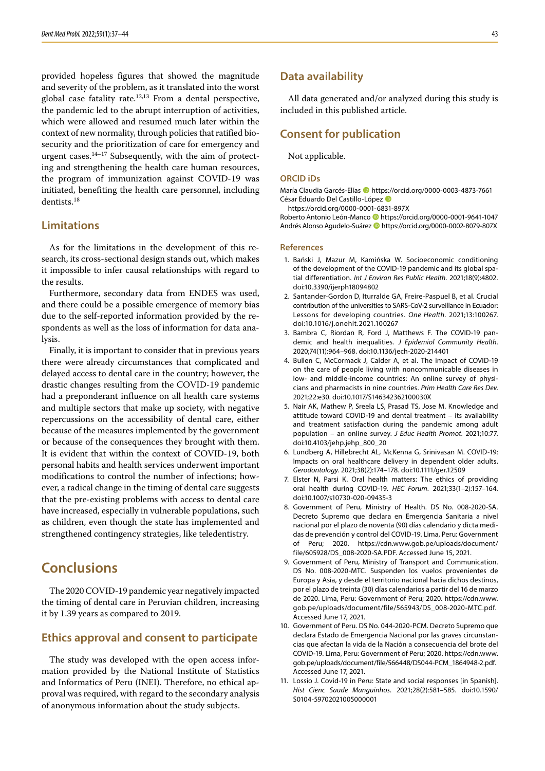provided hopeless figures that showed the magnitude and severity of the problem, as it translated into the worst global case fatality rate. $12,13$  From a dental perspective, the pandemic led to the abrupt interruption of activities, which were allowed and resumed much later within the context of new normality, through policies that ratified biosecurity and the prioritization of care for emergency and urgent cases.<sup>14-17</sup> Subsequently, with the aim of protecting and strengthening the health care human resources, the program of immunization against COVID-19 was initiated, benefiting the health care personnel, including dentists.18

### **Limitations**

As for the limitations in the development of this research, its cross-sectional design stands out, which makes it impossible to infer causal relationships with regard to the results.

Furthermore, secondary data from ENDES was used, and there could be a possible emergence of memory bias due to the self-reported information provided by the respondents as well as the loss of information for data analysis.

Finally, it is important to consider that in previous years there were already circumstances that complicated and delayed access to dental care in the country; however, the drastic changes resulting from the COVID-19 pandemic had a preponderant influence on all health care systems and multiple sectors that make up society, with negative repercussions on the accessibility of dental care, either because of the measures implemented by the government or because of the consequences they brought with them. It is evident that within the context of COVID-19, both personal habits and health services underwent important modifications to control the number of infections; however, a radical change in the timing of dental care suggests that the pre-existing problems with access to dental care have increased, especially in vulnerable populations, such as children, even though the state has implemented and strengthened contingency strategies, like teledentistry.

# **Conclusions**

The 2020 COVID-19 pandemic year negatively impacted the timing of dental care in Peruvian children, increasing it by 1.39 years as compared to 2019.

### **Ethics approval and consent to participate**

The study was developed with the open access information provided by the National Institute of Statistics and Informatics of Peru (INEI). Therefore, no ethical approval was required, with regard to the secondary analysis of anonymous information about the study subjects.

### **Data availability**

All data generated and/or analyzed during this study is included in this published article.

### **Consent for publication**

Not applicable.

#### **ORCID iDs**

María Claudia Garcés-Elías https://orcid.org/0000-0003-4873-7661 César Eduardo Del Castillo-López

https://orcid.org/0000-0001-6831-897X

Roberto Antonio León-Manco https://orcid.org/0000-0001-9641-1047 Andrés Alonso Agudelo-Suárez **ID** https://orcid.org/0000-0002-8079-807X

#### **References**

- 1. Bański J, Mazur M, Kamińska W. Socioeconomic conditioning of the development of the COVID-19 pandemic and its global spatial differentiation. *Int J Environ Res Public Health*. 2021;18(9):4802. doi:10.3390/ijerph18094802
- 2. Santander-Gordon D, Iturralde GA, Freire-Paspuel B, et al. Crucial contribution of the universities to SARS-CoV-2 surveillance in Ecuador: Lessons for developing countries. *One Health*. 2021;13:100267. doi:10.1016/j.onehlt.2021.100267
- 3. Bambra C, Riordan R, Ford J, Matthews F. The COVID-19 pandemic and health inequalities. *J Epidemiol Community Health*. 2020;74(11):964–968. doi:10.1136/jech-2020-214401
- 4. Bullen C, McCormack J, Calder A, et al. The impact of COVID-19 on the care of people living with noncommunicable diseases in low- and middle-income countries: An online survey of physicians and pharmacists in nine countries. *Prim Health Care Res Dev*. 2021;22:e30. doi:10.1017/S146342362100030X
- 5. Nair AK, Mathew P, Sreela LS, Prasad TS, Jose M. Knowledge and attitude toward COVID-19 and dental treatment – its availability and treatment satisfaction during the pandemic among adult population – an online survey. *J Educ Health Promot*. 2021;10:77. doi:10.4103/jehp.jehp\_800\_20
- 6. Lundberg A, Hillebrecht AL, McKenna G, Srinivasan M. COVID-19: Impacts on oral healthcare delivery in dependent older adults. *Gerodontology*. 2021;38(2):174–178. doi:10.1111/ger.12509
- 7. Elster N, Parsi K. Oral health matters: The ethics of providing oral health during COVID-19. *HEC Forum*. 2021;33(1–2):157–164. doi:10.1007/s10730-020-09435-3
- 8. Government of Peru, Ministry of Health. DS No. 008-2020-SA. Decreto Supremo que declara en Emergencia Sanitaria a nivel nacional por el plazo de noventa (90) días calendario y dicta medidas de prevención y control del COVID-19. Lima, Peru: Government of Peru; 2020. [https://cdn.www.gob.pe/uploads/document/](https://cdn.www.gob.pe/uploads/document/file/605928/DS_008-2020-SA.PDF) [file/605928/DS\\_008-2020-SA.PDF](https://cdn.www.gob.pe/uploads/document/file/605928/DS_008-2020-SA.PDF). Accessed June 15, 2021.
- 9. Government of Peru, Ministry of Transport and Communication. DS No. 008-2020-MTC. Suspenden los vuelos provenientes de Europa y Asia, y desde el territorio nacional hacia dichos destinos, por el plazo de treinta (30) días calendarios a partir del 16 de marzo de 2020. Lima, Peru: Government of Peru; 2020. [https://cdn.www.](https://cdn.www.gob.pe/uploads/document/file/565943/DS_008-2020-MTC.pdf) [gob.pe/uploads/document/file/565943/DS\\_008-2020-MTC.pdf.](https://cdn.www.gob.pe/uploads/document/file/565943/DS_008-2020-MTC.pdf) Accessed June 17, 2021.
- 10. Government of Peru. DS No. 044-2020-PCM. Decreto Supremo que declara Estado de Emergencia Nacional por las graves circunstancias que afectan la vida de la Nación a consecuencia del brote del COVID-19. Lima, Peru: Government of Peru; 2020. [https://cdn.www.](https://cdn.www.gob.pe/uploads/document/file/566448/DS044-PCM_1864948-2.pdf) [gob.pe/uploads/document/file/566448/DS044-PCM\\_1864948-2.pdf.](https://cdn.www.gob.pe/uploads/document/file/566448/DS044-PCM_1864948-2.pdf) Accessed June 17, 2021.
- 11. Lossio J. Covid-19 in Peru: State and social responses [in Spanish]. *Hist Cienc Saude Manguinhos*. 2021;28(2):581–585. doi:10.1590/ S0104-59702021005000001